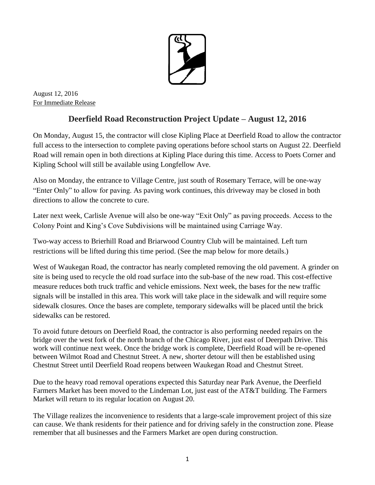

August 12, 2016 For Immediate Release

## **Deerfield Road Reconstruction Project Update – August 12, 2016**

On Monday, August 15, the contractor will close Kipling Place at Deerfield Road to allow the contractor full access to the intersection to complete paving operations before school starts on August 22. Deerfield Road will remain open in both directions at Kipling Place during this time. Access to Poets Corner and Kipling School will still be available using Longfellow Ave.

Also on Monday, the entrance to Village Centre, just south of Rosemary Terrace, will be one-way "Enter Only" to allow for paving. As paving work continues, this driveway may be closed in both directions to allow the concrete to cure.

Later next week, Carlisle Avenue will also be one-way "Exit Only" as paving proceeds. Access to the Colony Point and King's Cove Subdivisions will be maintained using Carriage Way.

Two-way access to Brierhill Road and Briarwood Country Club will be maintained. Left turn restrictions will be lifted during this time period. (See the map below for more details.)

West of Waukegan Road, the contractor has nearly completed removing the old pavement. A grinder on site is being used to recycle the old road surface into the sub-base of the new road. This cost-effective measure reduces both truck traffic and vehicle emissions. Next week, the bases for the new traffic signals will be installed in this area. This work will take place in the sidewalk and will require some sidewalk closures. Once the bases are complete, temporary sidewalks will be placed until the brick sidewalks can be restored.

To avoid future detours on Deerfield Road, the contractor is also performing needed repairs on the bridge over the west fork of the north branch of the Chicago River, just east of Deerpath Drive. This work will continue next week. Once the bridge work is complete, Deerfield Road will be re-opened between Wilmot Road and Chestnut Street. A new, shorter detour will then be established using Chestnut Street until Deerfield Road reopens between Waukegan Road and Chestnut Street.

Due to the heavy road removal operations expected this Saturday near Park Avenue, the Deerfield Farmers Market has been moved to the Lindeman Lot, just east of the AT&T building. The Farmers Market will return to its regular location on August 20.

The Village realizes the inconvenience to residents that a large-scale improvement project of this size can cause. We thank residents for their patience and for driving safely in the construction zone. Please remember that all businesses and the Farmers Market are open during construction.